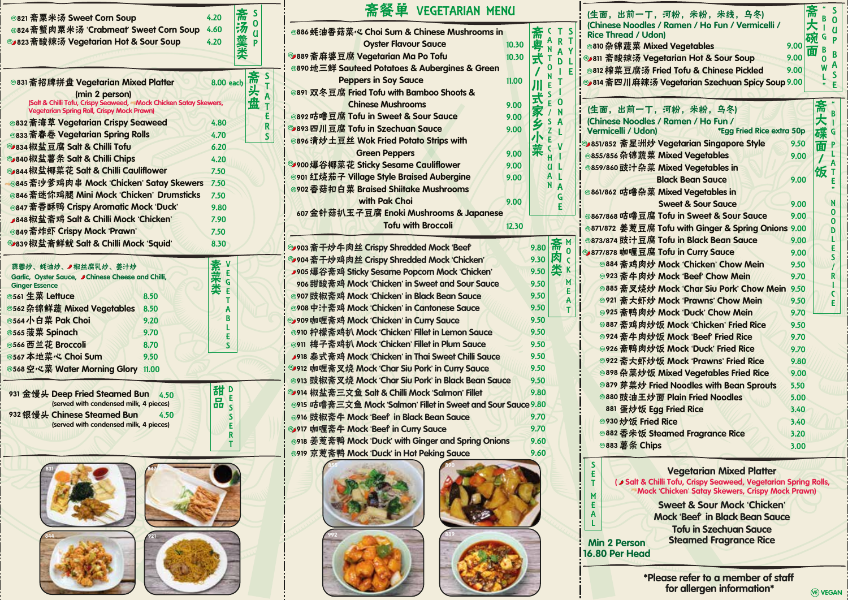| ◎821 斋粟米汤 Sweet Corn Soup                                                                                             | 4.20             | S      |        |
|-----------------------------------------------------------------------------------------------------------------------|------------------|--------|--------|
| ◎824斋蟹肉粟米汤 'Crabmeat' Sweet Corn Soup                                                                                 | 4.60             | 0<br>U |        |
| <b>◎ 823 斋酸辣汤 Vegetarian Hot &amp; Sour Soup</b>                                                                      | 4.20             | P      |        |
|                                                                                                                       |                  |        |        |
|                                                                                                                       |                  |        |        |
| ◎831 斋招牌拼盘 Vegetarian Mixed Platter                                                                                   | <b>8.00 each</b> | 斋      | S<br>T |
| (min 2 person)                                                                                                        |                  | 头      | A      |
| (Salt & Chilli Tofu, Crispy Seaweed, Mock Chicken Satay Skewers,<br><b>Vegetarian Spring Roll, Crispy Mock Prawn)</b> |                  | 盘      | т      |
| ◎832 斋海草 Vegetarian Crispy Seaweed                                                                                    | 4.80             |        | £      |
| ◎833 斋春卷 Vegetarian Spring Rolls                                                                                      | 4.70             |        | R<br>S |
| <sup>3</sup> 834 椒盐豆腐 Salt & Chilli Tofu                                                                              | 6.20             |        |        |
| ◎ 840 椒盐薯条 Salt & Chilli Chips                                                                                        | 4.20             |        |        |
| <b>Sy 844 椒盐椰菜花 Salt &amp; Chilli Cauliflower</b>                                                                     | 7.50             |        |        |
| <b>®845 斋沙爹鸡肉串 Mock 'Chicken' Satay Skewers</b>                                                                       | 7.50             |        |        |
| ◎846 斋迷你鸡腿 Mini Mock 'Chicken' Drumsticks                                                                             | 7.50             |        |        |
| ◎847 斋香酥鸭 Crispy Aromatic Mock 'Duck'                                                                                 | 9.80             |        |        |
| ▶ 848 椒盐斋鸡 Salt & Chilli Mock 'Chicken'                                                                               | 7.90             |        |        |
| ◎849 斋炸虾 Crispy Mock 'Prawn'                                                                                          | 7.50             |        |        |
| <sup>3339</sup> 椒盐斋鲜鱿 Salt & Chilli Mock 'Squid'                                                                      | 8.30             |        |        |
| 蒜蓉炒、蚝油炒、▲椒丝腐乳炒、姜汁炒                                                                                                    | ۷                |        |        |
| Garlic, Oyster Sauce, J Chinese Cheese and Chilli,                                                                    | E                |        |        |
| <b>Ginger Essence</b>                                                                                                 | G<br>E           |        |        |
| <sup>®561</sup> 生菜 Lettuce<br>8.50                                                                                    | т                |        |        |
| <b>©562 杂锦鲜蔬 Mixed Vegetables</b><br>8.50                                                                             | А<br>R           |        |        |
| ◎564 小白菜 Pak Choi<br>9.20                                                                                             | L                |        |        |
| <sup>6565</sup> 菠菜 Spinach<br>9.70                                                                                    | E                |        |        |
| ◎566 西兰花 Broccoli<br>8.70                                                                                             | S                |        |        |
| <b>8567 本地菜心 Choi Sum</b><br>9.50                                                                                     |                  |        |        |
| ◎568空心菜 Water Morning Glory 11.00                                                                                     |                  |        |        |
| 931 金馒头 Deep Fried Steamed Bun<br>4.50                                                                                | 甜<br>D           |        |        |
| (served with condensed milk, 4 pieces)                                                                                | E<br>品<br>S      |        |        |
| 932 银馒头 Chinese Steamed Bun<br>4.50                                                                                   | S                |        |        |
| (served with condensed milk, 4 pieces)                                                                                | E                |        |        |
|                                                                                                                       | R                |        |        |
|                                                                                                                       |                  |        |        |
|                                                                                                                       |                  |        |        |
|                                                                                                                       |                  |        |        |
|                                                                                                                       |                  |        |        |
|                                                                                                                       |                  |        |        |
|                                                                                                                       |                  |        |        |
|                                                                                                                       |                  |        |        |

 $844$   $921$ 

| <b>®821 斋粟米汤 Sweet Corn Soup</b>                                                                                        | 斋<br><b>S</b><br>4.20        | 斋餐单 VEGETARIAN MENU<br>(生面, 出前一丁, 河粉, 米粉, 米线, 乌冬)                                                                                                           | 斋<br>大<br> |
|-------------------------------------------------------------------------------------------------------------------------|------------------------------|-------------------------------------------------------------------------------------------------------------------------------------------------------------|------------|
| ⊛824 斋蟹肉粟米汤 'Crabmeat' Sweet Corn Soup                                                                                  | $\mathbf 0$<br>汤羹<br>4.60    | (Chinese Noodles / Ramen / Ho Fun / Vermicelli /<br>◎886 蚝油香菇菜心 Choi Sum & Chinese Mushrooms in<br>C.                                                       |            |
| ▶823 斋酸辣汤 Vegetarian Hot & Sour Soup                                                                                    | $\overline{a}$<br>4.20<br>Þ  | 斋<br><b>Rice Thread / Udon)</b><br>A                                                                                                                        | 碗G         |
|                                                                                                                         | 类                            | <b>Oyster Flavour Sauce</b><br>10.30<br>◎810 杂锦蔬菜 Mixed Vegetables<br>9.00                                                                                  | 面          |
|                                                                                                                         |                              | <mark>9889 斋麻婆豆腐 Vegetarian Ma Po Tofu</mark><br>10.30<br><sup>39</sup> 811 斋酸辣汤 Vegetarian Hot & Sour Soup<br>9.00<br>式<br>D.                              | $\Omega$   |
|                                                                                                                         | <b>S</b>                     | ◎890 地三鲜 Sauteed Potatoes & Aubergines & Green<br>ი<br>◎812 榨菜豆腐汤 Fried Tofu & Chinese Pickled<br>9.00                                                      | W          |
| <sup>8831</sup> 斋招牌拼盘 Vegetarian Mixed Platter                                                                          | 斋头盘<br>8.00 each<br>T.       | <b>Peppers in Soy Sauce</b><br>11.00<br>SB14 斋四川麻辣汤 Vegetarian Szechuan Spicy Soup 9.00                                                                     |            |
| (min 2 person)                                                                                                          |                              | ◎891 双冬豆腐 Fried Tofu with Bamboo Shoots &                                                                                                                   |            |
| (Salt & Chilli Tofu, Crispy Seaweed, - Mock Chicken Satay Skewers,<br><b>Vegetarian Spring Roll, Crispy Mock Prawn)</b> |                              | n<br><b>Chinese Mushrooms</b><br>9.00<br>(生面, 出前一丁, 河粉, 米粉, 乌冬)                                                                                             |            |
| <b>832 斋海草 Vegetarian Crispy Seaweed</b>                                                                                | E<br>4.80                    | ◉892 咕噜豆腐 Tofu in Sweet & Sour Sauce<br>9.00<br>(Chinese Noodles / Ramen / Ho Fun /<br>S.                                                                   | 斋大         |
| 833 斋春卷 Vegetarian Spring Rolls                                                                                         | R<br>4.70                    | <sup>3</sup> 893 四川豆腐 Tofu in Szechuan Sauce<br>9.00<br>Vermicelli / Udon)<br>*Egg Fried Rice extra 50p<br>$\mathsf{Z}$                                     | 碟          |
| 334 椒盐豆腐 Salt & Chilli Tofu                                                                                             | $\mathsf{S}$                 | ◎896清炒土豆丝 Wok Fried Potato Strips with<br>E<br><b>5</b> 851/852 斋星洲炒 Vegetarian Singapore Style<br>9.50                                                     | 面          |
| »840椒盐薯条 Salt & Chilli Chips                                                                                            | 6.20                         | $\mathsf{C}$<br>菜<br><b>Green Peppers</b><br>9.00<br>◎855/856 杂锦蔬菜 Mixed Vegetables<br>9.00<br>H.                                                           |            |
| » 844 椒盐椰菜花 Salt & Chilli Cauliflower                                                                                   | 4.20                         | 9900爆谷椰菜花 Sticky Sesame Cauliflower<br>9.00<br>$\overline{a}$<br>◎859/860 豉汁杂菜 Mixed Vegetables in                                                          |            |
|                                                                                                                         | 7.50                         | ◎901 红烧茄子 Village Style Braised Aubergine<br>Al<br>9.00<br><b>Black Bean Sauce</b><br>9.00                                                                  |            |
| 8845 斋沙爹鸡肉串 Mock 'Chicken' Satay Skewers 7.50                                                                           |                              | ◎902 香菇扣白菜 Braised Shiitake Mushrooms<br>◎861/862 咕噜杂菜 Mixed Vegetables in                                                                                  |            |
| 8846 斋迷你鸡腿 Mini Mock 'Chicken' Drumsticks                                                                               | 7.50                         | with Pak Choi<br>9.00<br><b>Sweet &amp; Sour Sauce</b><br>9.00                                                                                              |            |
| <b>8847 斋香酥鸭 Crispy Aromatic Mock 'Duck'</b>                                                                            | 9.80                         | 607 金针菇扒玉子豆腐 Enoki Mushrooms & Japanese<br><b>8867/868 咕噜豆腐 Tofu in Sweet &amp; Sour Sauce</b><br>9.00                                                      |            |
| <b>848椒盐斋鸡 Salt &amp; Chilli Mock 'Chicken'</b>                                                                         | 7.90                         | <b>Tofu with Broccoli</b><br>12.30<br>◎871/872 姜葱豆腐 Tofu with Ginger & Spring Onions 9.00                                                                   |            |
| 8849 斋炸虾 Crispy Mock 'Prawn'                                                                                            | 7.50                         | <sup>◎873/874</sup> 豉汁豆腐 Tofu in Black Bean Sauce<br>9.00                                                                                                   |            |
| 9839 椒盐斋鲜鱿 Salt & Chilli Mock 'Squid'                                                                                   | 8.30                         | 斋<br><sup>39903</sup> 斋干炒牛肉丝 Crispy Shredded Mock 'Beef'<br>9.80<br>$\mathbf 0$<br>S9877/878 咖喱豆腐 Tofu in Curry Sauce                                       |            |
|                                                                                                                         |                              | 9.00<br>肉<br><b>1904 斋干炒鸡肉丝 Crispy Shredded Mock 'Chicken'</b><br>9.30<br>$\overline{\mathbf{C}}$<br>◎884 斋鸡肉炒 Mock 'Chicken' Chow Mein                     |            |
| 蒜蓉炒、蚝油炒、"椒丝腐乳炒、姜汁炒                                                                                                      | 素菜类                          | 9.50<br>奕<br>▶905爆谷斋鸡 Sticky Sesame Popcorn Mock 'Chicken'<br>9.50<br><sup>®923</sup> 斋牛肉炒 Mock 'Beef' Chow Mein                                            |            |
| Garlic, Oyster Sauce, J Chinese Cheese and Chilli,<br><b>Ginger Essence</b>                                             |                              | 9.70<br>M<br>906 甜酸斋鸡 Mock 'Chicken' in Sweet and Sour Sauce<br>9.50                                                                                        |            |
| 561 生菜 Lettuce<br>8.50                                                                                                  |                              | ◎885 斋叉烧炒 Mock 'Char Siu Pork' Chow Mein 9.50<br><sup>®907</sup> 豉椒斋鸡 Mock 'Chicken' in Black Bean Sauce<br>9.50                                            |            |
| 562 杂锦鲜蔬 Mixed Vegetables<br>8.50                                                                                       | $\overline{A}$               | ◎921 斋大虾炒 Mock 'Prawns' Chow Mein<br>9.50<br>◎908 中汁斋鸡 Mock 'Chicken' in Cantonese Sauce<br>9.50                                                            |            |
| 564小白菜 Pak Choi<br>9.20                                                                                                 | B                            | ◎925 斋鸭肉炒 Mock 'Duck' Chow Mein<br>9.70<br><b>y909 咖喱斋鸡 Mock 'Chicken' in Curry Sauce</b><br>9.50                                                           |            |
| 565 菠菜 Spinach<br>9.70                                                                                                  |                              | ◎887 斋鸡肉炒饭 Mock 'Chicken' Fried Rice<br>9.50<br>◎910 柠檬斋鸡扒 Mock 'Chicken' Fillet in Lemon Sauce<br>9.50                                                     |            |
| 566 西兰花 Broccoli<br>8.70                                                                                                | Æ.<br>$\mathsf{s}$           | ◎924 斋牛肉炒饭 Mock 'Beef' Fried Rice<br>9.70<br><sup>3911</sup> 梅子斋鸡扒 Mock 'Chicken' Fillet in Plum Sauce<br>9.50                                              |            |
| 567 本地菜心 Choi Sum<br>9.50                                                                                               |                              | ◎926 斋鸭肉炒饭 Mock 'Duck' Fried Rice<br>9.70<br>918 泰式斋鸡 Mock 'Chicken' in Thai Sweet Chilli Sauce<br>9.50                                                     |            |
| 568 空心菜 Water Morning Glory 11.00                                                                                       |                              | <sup>3922</sup> 斋大虾炒饭 Mock 'Prawns' Fried Rice<br>9.80<br><sup>39</sup> 912 咖喱斋叉烧 Mock 'Char Siu Pork' in Curry Sauce<br>9.50                               |            |
|                                                                                                                         |                              | ◎898 杂菜炒饭 Mixed Vegetables Fried Rice<br>9.00<br>◎913 豉椒斋叉烧 Mock 'Char Siu Pork' in Black Bean Sauce<br>9.50                                                |            |
|                                                                                                                         | 甜!                           | <sup>8879</sup> 芽菜炒 Fried Noodles with Bean Sprouts<br>5.50<br><sup>39</sup> 914 椒盐斋三文鱼 Salt & Chilli Mock 'Salmon' Fillet<br>9.80                          |            |
| 31 金馒头 Deep Fried Steamed Bun 4.50<br>(served with condensed milk, 4 pieces)                                            | £.<br>品                      | ◎880 豉油王炒面 Plain Fried Noodles<br>5.00<br>◎915 咕噜斋三文鱼 Mock 'Salmon' Fillet in Sweet and Sour Sauce 9.80                                                     |            |
| 32 银馒头 Chinese Steamed Bun<br>4.50                                                                                      | $\overline{\mathbf{S}}$<br>s | 881 蛋炒饭 Egg Fried Rice<br>3.40<br>◎916 豉椒斋牛 Mock 'Beef' in Black Bean Sauce                                                                                 |            |
| (served with condensed milk, 4 pieces)                                                                                  | E                            | 9.70<br><b>®930 炒饭 Fried Rice</b><br>3.40                                                                                                                   |            |
|                                                                                                                         | R.                           | <b>1917 咖喱斋牛 Mock 'Beef in Curry Sauce</b><br>9.70<br>◎882 香米饭 Steamed Fragrance Rice<br>3.20                                                               |            |
|                                                                                                                         | T.                           | ◎918 姜葱斋鸭 Mock 'Duck' with Ginger and Spring Onions<br>9.60<br><b><sup>◎883 薯条 Chips</sup></b><br>3.00<br>◎919 京葱斋鸭 Mock 'Duck' in Hot Peking Sauce<br>9.60 |            |
|                                                                                                                         |                              |                                                                                                                                                             |            |
|                                                                                                                         |                              | <b>Vegetarian Mixed Platter</b>                                                                                                                             |            |
|                                                                                                                         |                              | ( Salt & Chilli Tofu, Crispy Seaweed, Vegetarian Spring Rolls,<br>Mock 'Chicken' Satay Skewers, Crispy Mock Prawn)                                          |            |
|                                                                                                                         |                              |                                                                                                                                                             |            |





| 39 |  |  |  |
|----|--|--|--|
|    |  |  |  |
|    |  |  |  |
|    |  |  |  |

SETMEAL

L

| S<br>т<br>Y<br>F | (生面, 出前一丁, 河粉, 米粉, 米线, 乌冬)<br>(Chinese Noodles / Ramen / Ho Fun / Vermicelli /<br><b>Rice Thread / Udon)</b><br>◎810 杂锦蔬菜 Mixed Vegetables<br><sup>39</sup> 811 斋酸辣汤 Vegetarian Hot & Sour Soup<br>◎812 榨菜豆腐汤 Fried Tofu & Chinese Pickled<br><sup>3814</sup> 斋四川麻辣汤 Vegetarian Szechuan Spicy Soup 9.00 | 9.00<br>9.00<br>9.00 | īя | B<br>т<br>G<br>В<br>ი<br>W | S<br>$\overline{0}$<br>Ū<br>P<br>B<br>$\mathbf{A}$<br>S<br>E |
|------------------|----------------------------------------------------------------------------------------------------------------------------------------------------------------------------------------------------------------------------------------------------------------------------------------------------------|----------------------|----|----------------------------|--------------------------------------------------------------|
|                  | (生面, 出前一丁, 河粉, 米粉, 乌冬)<br>(Chinese Noodles / Ramen / Ho Fun /<br>*Egg Fried Rice extra 50p<br>Vermicelli / Udon)                                                                                                                                                                                         |                      |    |                            | B<br>$\mathbf G$                                             |
|                  | 5351/852 斋星洲炒 Vegetarian Singapore Style                                                                                                                                                                                                                                                                 | 9.50                 |    | 面                          | P                                                            |
|                  | ◎855/856 杂锦蔬菜 Mixed Vegetables                                                                                                                                                                                                                                                                           | 9.00                 |    |                            |                                                              |
|                  | ◎859/860 豉汁杂菜 Mixed Vegetables in                                                                                                                                                                                                                                                                        |                      |    | 饭                          | A<br>т                                                       |
|                  | <b>Black Bean Sauce</b>                                                                                                                                                                                                                                                                                  | 9.00                 |    |                            | F                                                            |
|                  | ◎861/862 咕噜杂菜 Mixed Vegetables in                                                                                                                                                                                                                                                                        |                      |    |                            |                                                              |
|                  | <b>Sweet &amp; Sour Sauce</b>                                                                                                                                                                                                                                                                            | 9.00                 |    |                            | N                                                            |
|                  | ◎867/868 咕噜豆腐 Tofu in Sweet & Sour Sauce                                                                                                                                                                                                                                                                 | 9.00                 |    |                            | 0<br>Ō                                                       |
|                  | ◎871/872 姜葱豆腐 Tofu with Ginger & Spring Onions 9.00                                                                                                                                                                                                                                                      |                      |    |                            | D                                                            |
| M                | ◎873/874 豉汁豆腐 Tofu in Black Bean Sauce                                                                                                                                                                                                                                                                   | 9.00                 |    |                            | L                                                            |
| 0                | <sup>3877/878</sup> 咖喱豆腐 Tofu in Curry Sauce                                                                                                                                                                                                                                                             | 9.00                 |    |                            | E<br>S                                                       |
| C<br>K           | ◎884 斋鸡肉炒 Mock 'Chicken' Chow Mein                                                                                                                                                                                                                                                                       | 9.50                 |    |                            | $\prime$                                                     |
| M                | <sup>®923</sup> 斋牛肉炒 Mock 'Beef' Chow Mein                                                                                                                                                                                                                                                               | 9.70                 |    |                            | R                                                            |
| E                | ◎885 斋叉烧炒 Mock 'Char Siu Pork' Chow Mein                                                                                                                                                                                                                                                                 | 9.50                 |    |                            | ı<br>C                                                       |
| Α                | ◎921 斋大虾炒 Mock 'Prawns' Chow Mein                                                                                                                                                                                                                                                                        | 9.50                 |    |                            | £.                                                           |
| т                | ◎925 斋鸭肉炒 Mock 'Duck' Chow Mein                                                                                                                                                                                                                                                                          | 9.70                 |    |                            |                                                              |
|                  | ◎887 斋鸡肉炒饭 Mock 'Chicken' Fried Rice                                                                                                                                                                                                                                                                     | 9.50                 |    |                            |                                                              |
|                  | ◎924 斋牛肉炒饭 Mock 'Beef' Fried Rice                                                                                                                                                                                                                                                                        | 9.70                 |    |                            |                                                              |
|                  | ◎926 斋鸭肉炒饭 Mock 'Duck' Fried Rice                                                                                                                                                                                                                                                                        | 9.70                 |    |                            |                                                              |
|                  | <sup>8922</sup> 斋大虾炒饭 Mock 'Prawns' Fried Rice                                                                                                                                                                                                                                                           | 9.80                 |    |                            |                                                              |
|                  | ◎898 杂菜炒饭 Mixed Vegetables Fried Rice                                                                                                                                                                                                                                                                    | 9.00                 |    |                            |                                                              |
|                  | <sup>8879</sup> 芽菜炒 Fried Noodles with Bean Sprouts                                                                                                                                                                                                                                                      | 5.50                 |    |                            |                                                              |
|                  | <sup>8880</sup> 豉油王炒面 Plain Fried Noodles                                                                                                                                                                                                                                                                | 5.00                 |    |                            |                                                              |
|                  | 881 蛋炒饭 Egg Fried Rice                                                                                                                                                                                                                                                                                   | 3.40                 |    |                            |                                                              |
|                  | <sup>®930</sup> 炒饭 Fried Rice                                                                                                                                                                                                                                                                            | 3.40                 |    |                            |                                                              |
|                  | ◎882 香米饭 Steamed Fragrance Rice                                                                                                                                                                                                                                                                          | 3.20                 |    |                            |                                                              |
|                  | <b>◎883 薯条 Chips</b>                                                                                                                                                                                                                                                                                     | 3.00                 |    |                            |                                                              |



VE VEGAN